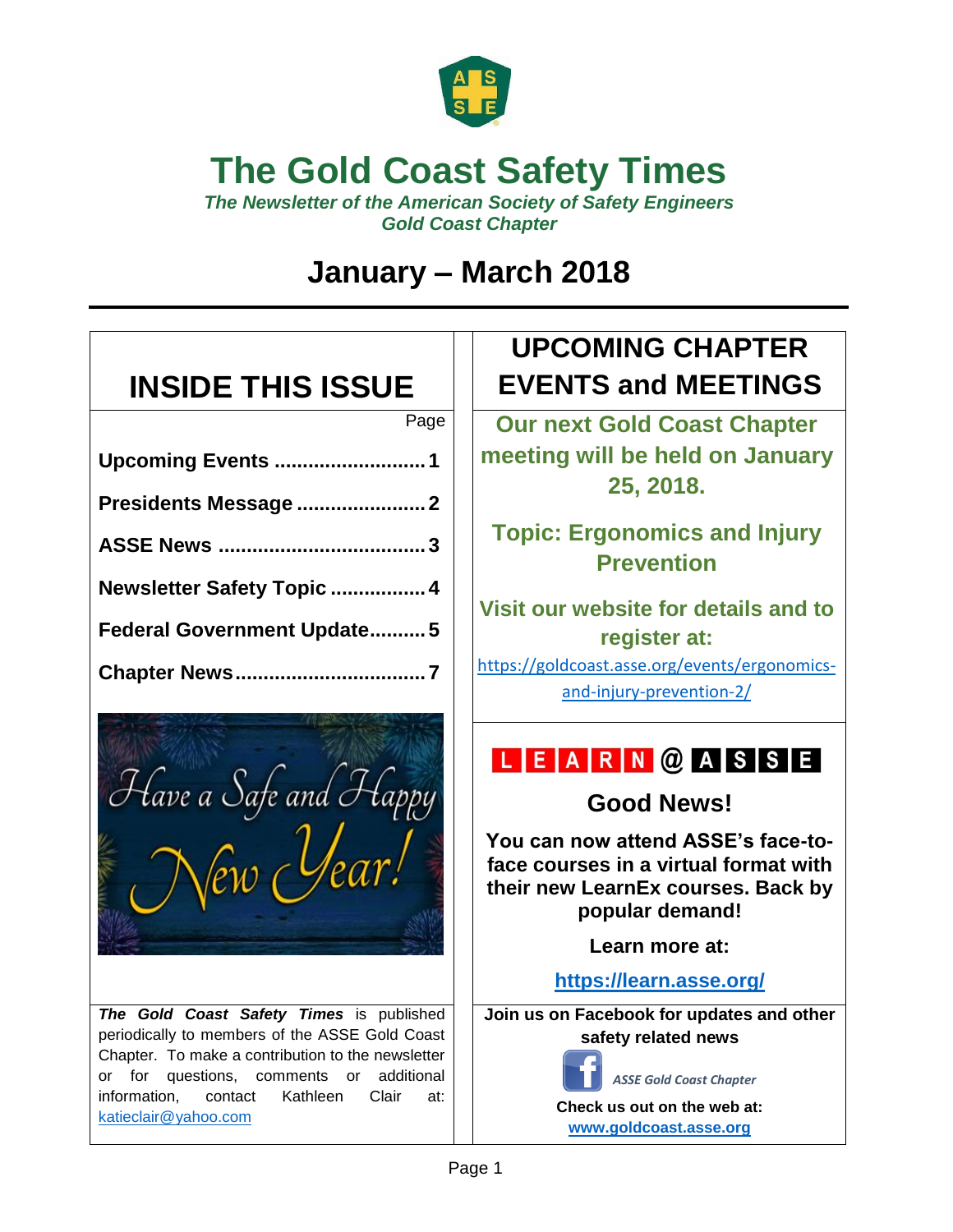

## **The Gold Coast Safety Times**

*The Newsletter of the American Society of Safety Engineers Gold Coast Chapter*

## **January – March 2018**

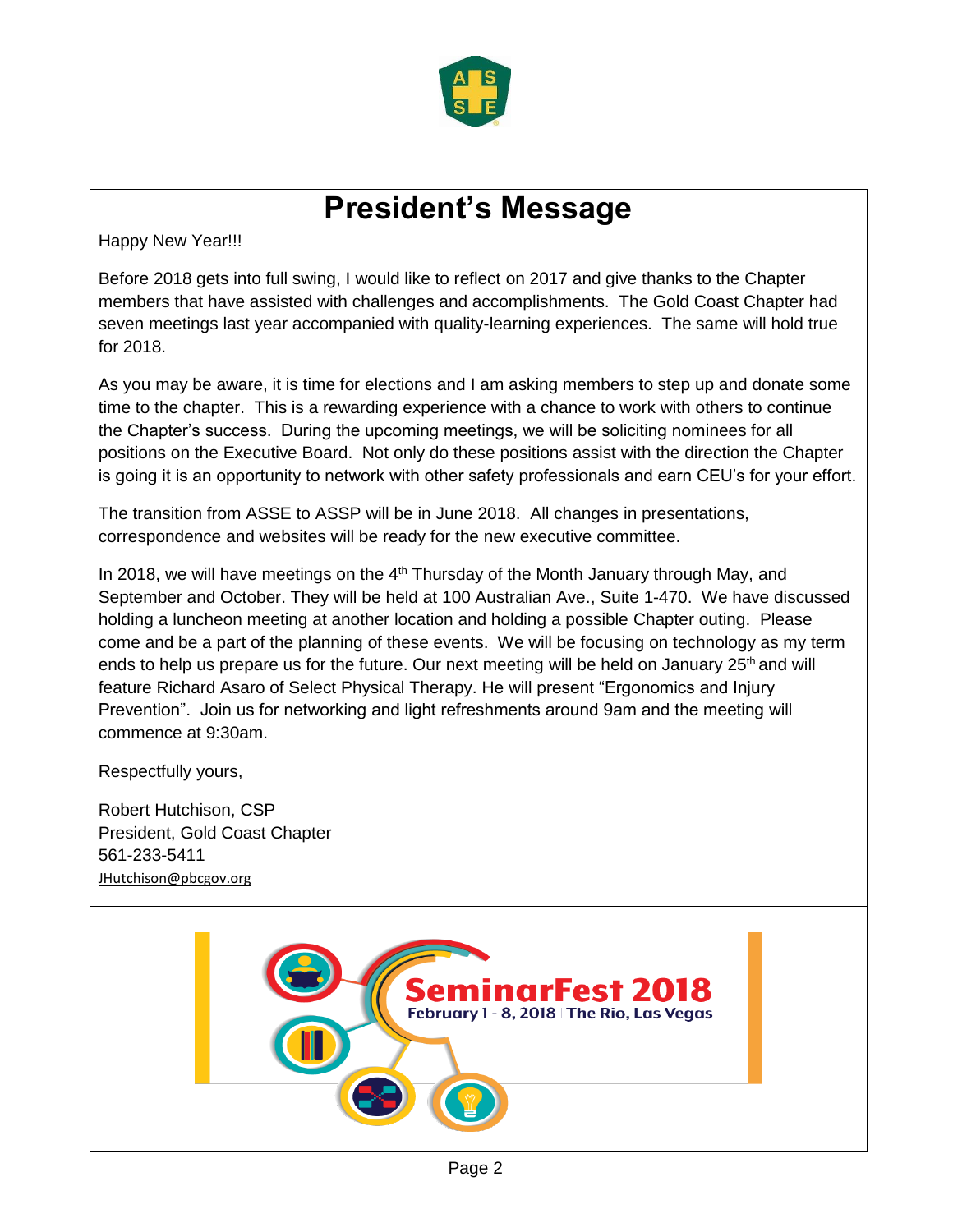

## **President's Message**

Happy New Year!!!

Before 2018 gets into full swing, I would like to reflect on 2017 and give thanks to the Chapter members that have assisted with challenges and accomplishments. The Gold Coast Chapter had seven meetings last year accompanied with quality-learning experiences. The same will hold true for 2018.

As you may be aware, it is time for elections and I am asking members to step up and donate some time to the chapter. This is a rewarding experience with a chance to work with others to continue the Chapter's success. During the upcoming meetings, we will be soliciting nominees for all positions on the Executive Board. Not only do these positions assist with the direction the Chapter is going it is an opportunity to network with other safety professionals and earn CEU's for your effort.

The transition from ASSE to ASSP will be in June 2018. All changes in presentations, correspondence and websites will be ready for the new executive committee.

In 2018, we will have meetings on the  $4<sup>th</sup>$  Thursday of the Month January through May, and September and October. They will be held at 100 Australian Ave., Suite 1-470. We have discussed holding a luncheon meeting at another location and holding a possible Chapter outing. Please come and be a part of the planning of these events. We will be focusing on technology as my term ends to help us prepare us for the future. Our next meeting will be held on January  $25<sup>th</sup>$  and will feature Richard Asaro of Select Physical Therapy. He will present "Ergonomics and Injury Prevention". Join us for networking and light refreshments around 9am and the meeting will commence at 9:30am.

Respectfully yours,

Robert Hutchison, CSP President, Gold Coast Chapter 561-233-5411 [JHutchison@pbcgov.org](mailto:JHutchison@pbcgov.org)

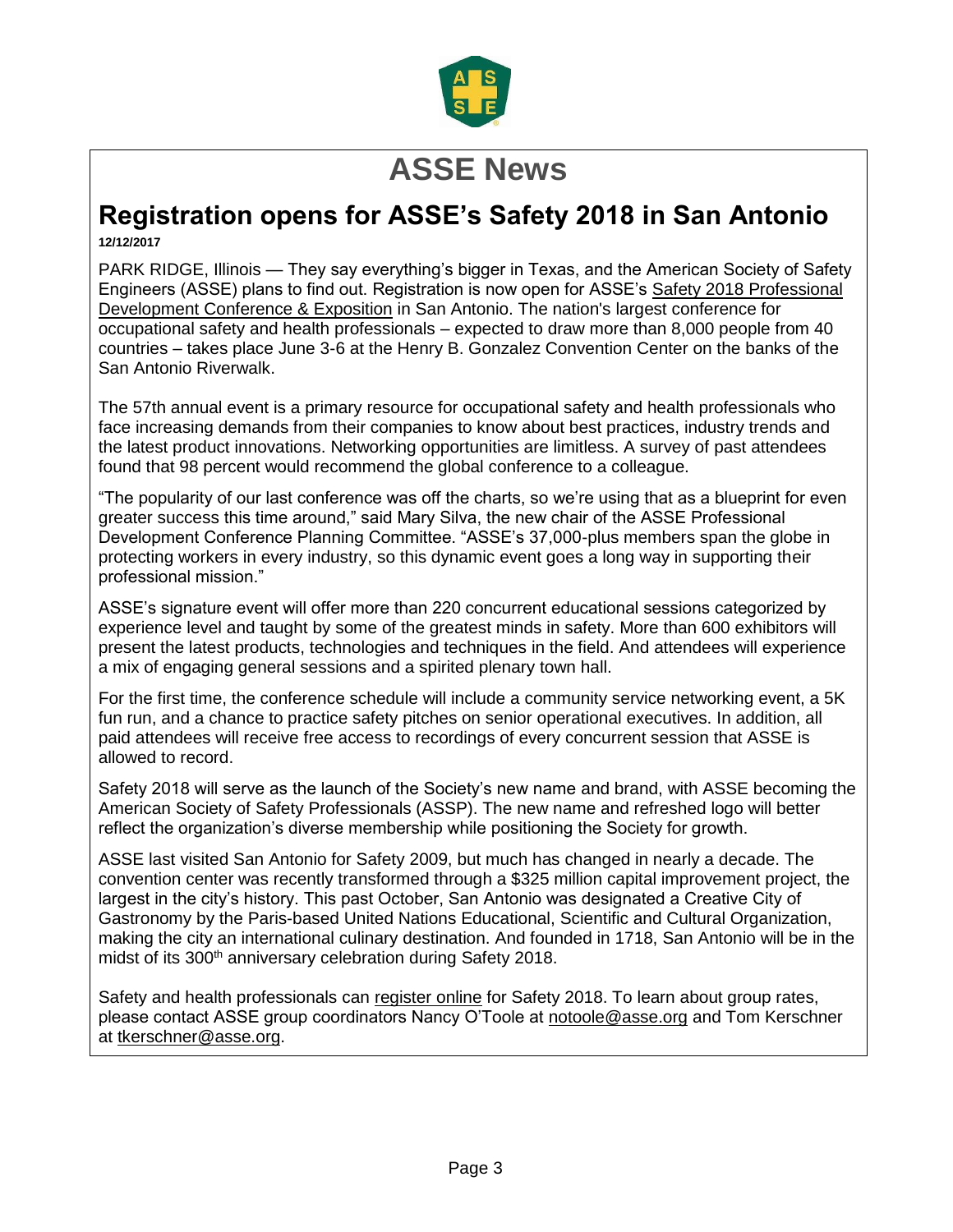

## **ASSE News**

#### **Registration opens for ASSE's Safety 2018 in San Antonio 12/12/2017**

PARK RIDGE, Illinois — They say everything's bigger in Texas, and the American Society of Safety Engineers (ASSE) plans to find out. Registration is now open for ASSE's Safety 2018 [Professional](https://safety.asse.org/) [Development](https://safety.asse.org/) Conference & Exposition in San Antonio. The nation's largest conference for occupational safety and health professionals – expected to draw more than 8,000 people from 40 countries – takes place June 3-6 at the Henry B. Gonzalez Convention Center on the banks of the San Antonio Riverwalk.

The 57th annual event is a primary resource for occupational safety and health professionals who face increasing demands from their companies to know about best practices, industry trends and the latest product innovations. Networking opportunities are limitless. A survey of past attendees found that 98 percent would recommend the global conference to a colleague.

"The popularity of our last conference was off the charts, so we're using that as a blueprint for even greater success this time around," said Mary Silva, the new chair of the ASSE Professional Development Conference Planning Committee. "ASSE's 37,000-plus members span the globe in protecting workers in every industry, so this dynamic event goes a long way in supporting their professional mission."

ASSE's signature event will offer more than 220 concurrent educational sessions categorized by experience level and taught by some of the greatest minds in safety. More than 600 exhibitors will present the latest products, technologies and techniques in the field. And attendees will experience a mix of engaging general sessions and a spirited plenary town hall.

For the first time, the conference schedule will include a community service networking event, a 5K fun run, and a chance to practice safety pitches on senior operational executives. In addition, all paid attendees will receive free access to recordings of every concurrent session that ASSE is allowed to record.

Safety 2018 will serve as the launch of the Society's new name and brand, with ASSE becoming the American Society of Safety Professionals (ASSP). The new name and refreshed logo will better reflect the organization's diverse membership while positioning the Society for growth.

ASSE last visited San Antonio for Safety 2009, but much has changed in nearly a decade. The convention center was recently transformed through a \$325 million capital improvement project, the largest in the city's history. This past October, San Antonio was designated a Creative City of Gastronomy by the Paris-based United Nations Educational, Scientific and Cultural Organization, making the city an international culinary destination. And founded in 1718, San Antonio will be in the midst of its 300<sup>th</sup> anniversary celebration during Safety 2018.

Safety and health professionals can [register](https://safety.asse.org/registration/) online for Safety 2018. To learn about group rates, please contact ASSE group coordinators Nancy O'Toole at [notoole@asse.org](mailto:notoole@asse.org) and Tom Kerschner at [tkerschner@asse.org.](mailto:tkerschner@asse.org)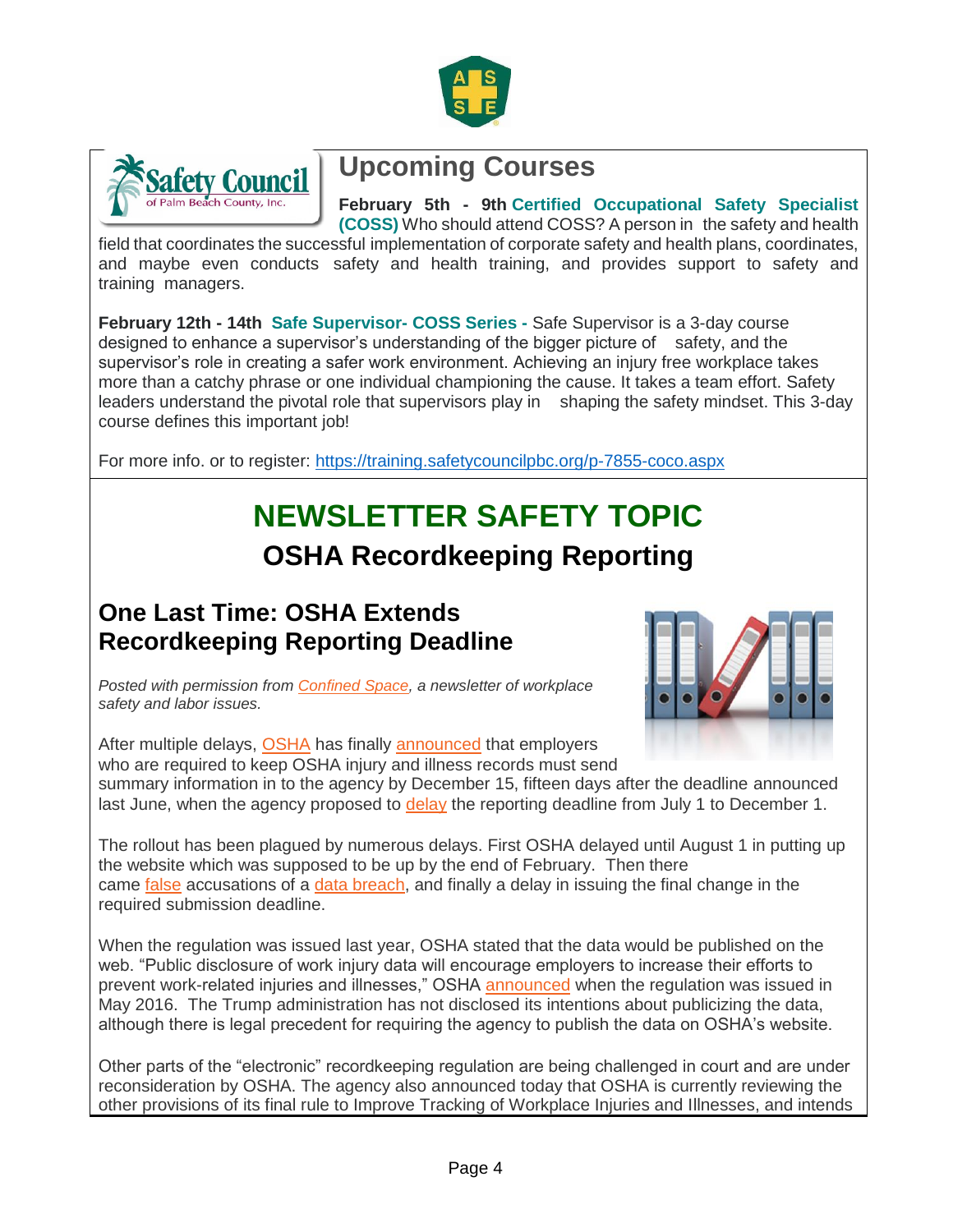



### **Upcoming Courses**

**February 5th - 9th Certified Occupational Safety Specialist (COSS)** Who should attend COSS? A person in the safety and health

field that coordinates the successful implementation of corporate safety and health plans, coordinates, and maybe even conducts safety and health training, and provides support to safety and training managers.

**February 12th - 14th Safe Supervisor- COSS Series -** Safe Supervisor is a 3-day course designed to enhance a supervisor's understanding of the bigger picture of safety, and the supervisor's role in creating a safer work environment. Achieving an injury free workplace takes more than a catchy phrase or one individual championing the cause. It takes a team effort. Safety leaders understand the pivotal role that supervisors play in shaping the safety mindset. This 3-day course defines this important job!

For more info. or to register:<https://training.safetycouncilpbc.org/p-7855-coco.aspx>

## **NEWSLETTER SAFETY TOPIC OSHA Recordkeeping Reporting**

#### **One Last Time: OSHA Extends Recordkeeping Reporting Deadline**

*Posted with permission from [Confined Space,](http://jordanbarab.com/confinedspace) a newsletter of workplace safety and labor issues.*



After multiple delays, [OSHA](http://www.osha.gov/) has finally [announced](https://content.govdelivery.com/accounts/USDOL/bulletins/1c6be1d) that employers who are required to keep OSHA injury and illness records must send summary information in to the agency by December 15, fifteen days after the deadline announced last June, when the agency proposed to [delay](http://jordanbarab.com/confinedspace/2017/06/27/osha-delays-recordkeeping-rule/) the reporting deadline from July 1 to December 1.

The rollout has been plagued by numerous delays. First OSHA delayed until August 1 in putting up the website which was supposed to be up by the end of February. Then there came [false](https://www.safetylawmatters.com/2017/08/data-security-breach-osha-false-alarm-time/) accusations of a [data breach,](http://jordanbarab.com/confinedspace/2017/08/17/osha-shuts-down-recordkeeping-webpage/) and finally a delay in issuing the final change in the required submission deadline.

When the regulation was issued last year, OSHA stated that the data would be published on the web. "Public disclosure of work injury data will encourage employers to increase their efforts to prevent work-related injuries and illnesses," OSHA [announced](https://www.osha.gov/news/newsreleases/national/05112016) when the regulation was issued in May 2016. The Trump administration has not disclosed its intentions about publicizing the data, although there is legal precedent for requiring the agency to publish the data on OSHA's website.

Other parts of the "electronic" recordkeeping regulation are being challenged in court and are under reconsideration by OSHA. The agency also announced today that OSHA is currently reviewing the other provisions of its final rule to Improve Tracking of Workplace Injuries and Illnesses, and intends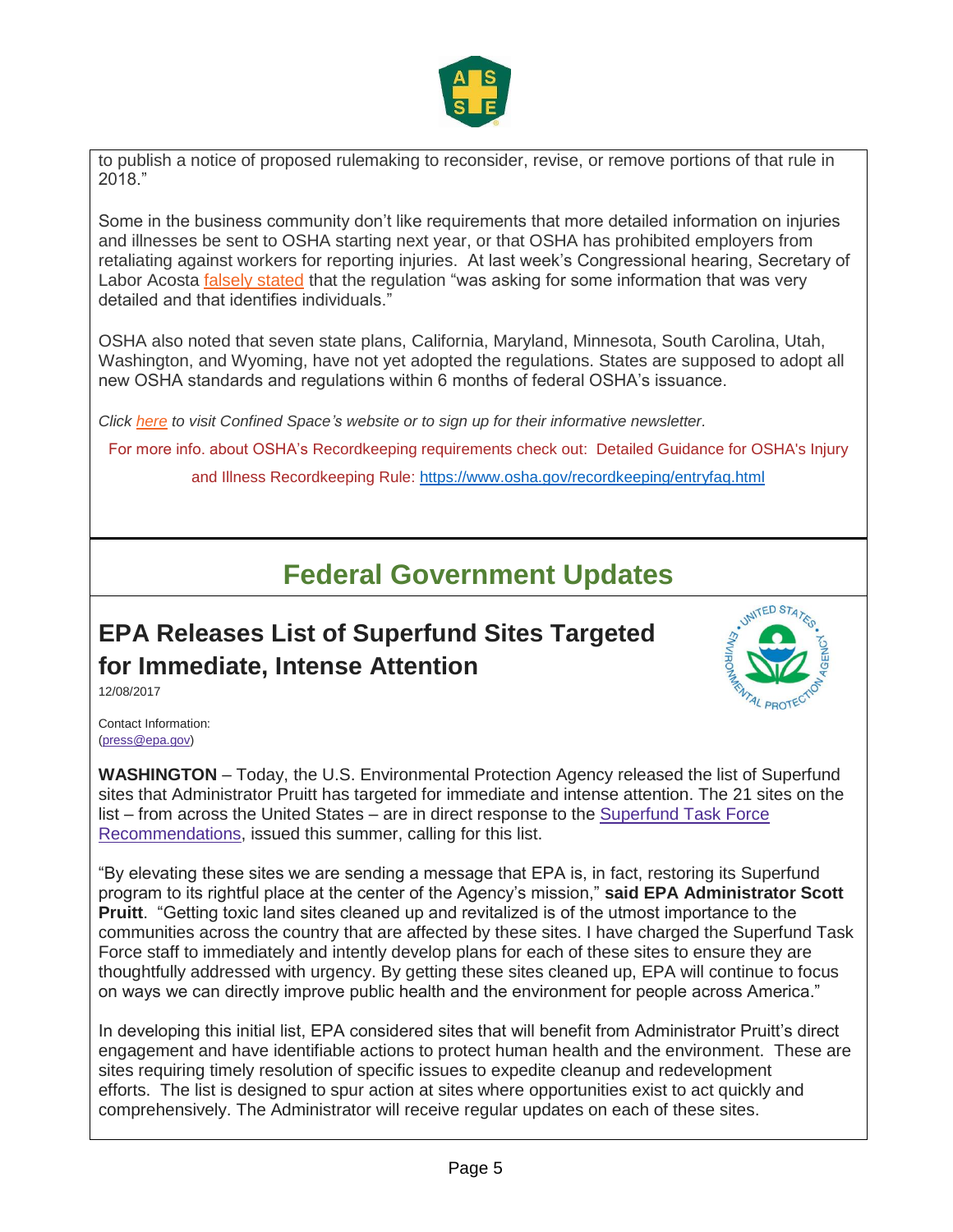

to publish a notice of proposed rulemaking to reconsider, revise, or remove portions of that rule in 2018."

Some in the business community don't like requirements that more detailed information on injuries and illnesses be sent to OSHA starting next year, or that OSHA has prohibited employers from retaliating against workers for reporting injuries. At last week's Congressional hearing, Secretary of Labor Acosta [falsely stated](http://jordanbarab.com/confinedspace/2017/11/20/acosta-testifies-not-terrible/) that the regulation "was asking for some information that was very detailed and that identifies individuals."

OSHA also noted that seven state plans, California, Maryland, Minnesota, South Carolina, Utah, Washington, and Wyoming, have not yet adopted the regulations. States are supposed to adopt all new OSHA standards and regulations within 6 months of federal OSHA's issuance.

*Click [here](http://jordanbarab.com/confinedspace) to visit Confined Space's website or to sign up for their informative newsletter.*

For more info. about OSHA's Recordkeeping requirements check out: Detailed Guidance for OSHA's Injury and Illness Recordkeeping Rule:<https://www.osha.gov/recordkeeping/entryfaq.html>

#### **Federal Government Updates**

### **EPA Releases List of Superfund Sites Targeted for Immediate, Intense Attention**



12/08/2017

Contact Information: [\(press@epa.gov\)](mailto:press@epa.gov)

**WASHINGTON** – Today, the U.S. Environmental Protection Agency released the list of Superfund sites that Administrator Pruitt has targeted for immediate and intense attention. The 21 sites on the list – from across the United States – are in direct response to the [Superfund Task Force](https://www.epa.gov/newsreleases/epa-announces-superfund-task-force-recommendations)  [Recommendations,](https://www.epa.gov/newsreleases/epa-announces-superfund-task-force-recommendations) issued this summer, calling for this list.

"By elevating these sites we are sending a message that EPA is, in fact, restoring its Superfund program to its rightful place at the center of the Agency's mission," **said EPA Administrator Scott Pruitt**. "Getting toxic land sites cleaned up and revitalized is of the utmost importance to the communities across the country that are affected by these sites. I have charged the Superfund Task Force staff to immediately and intently develop plans for each of these sites to ensure they are thoughtfully addressed with urgency. By getting these sites cleaned up, EPA will continue to focus on ways we can directly improve public health and the environment for people across America."

In developing this initial list, EPA considered sites that will benefit from Administrator Pruitt's direct engagement and have identifiable actions to protect human health and the environment. These are sites requiring timely resolution of specific issues to expedite cleanup and redevelopment efforts. The list is designed to spur action at sites where opportunities exist to act quickly and comprehensively. The Administrator will receive regular updates on each of these sites.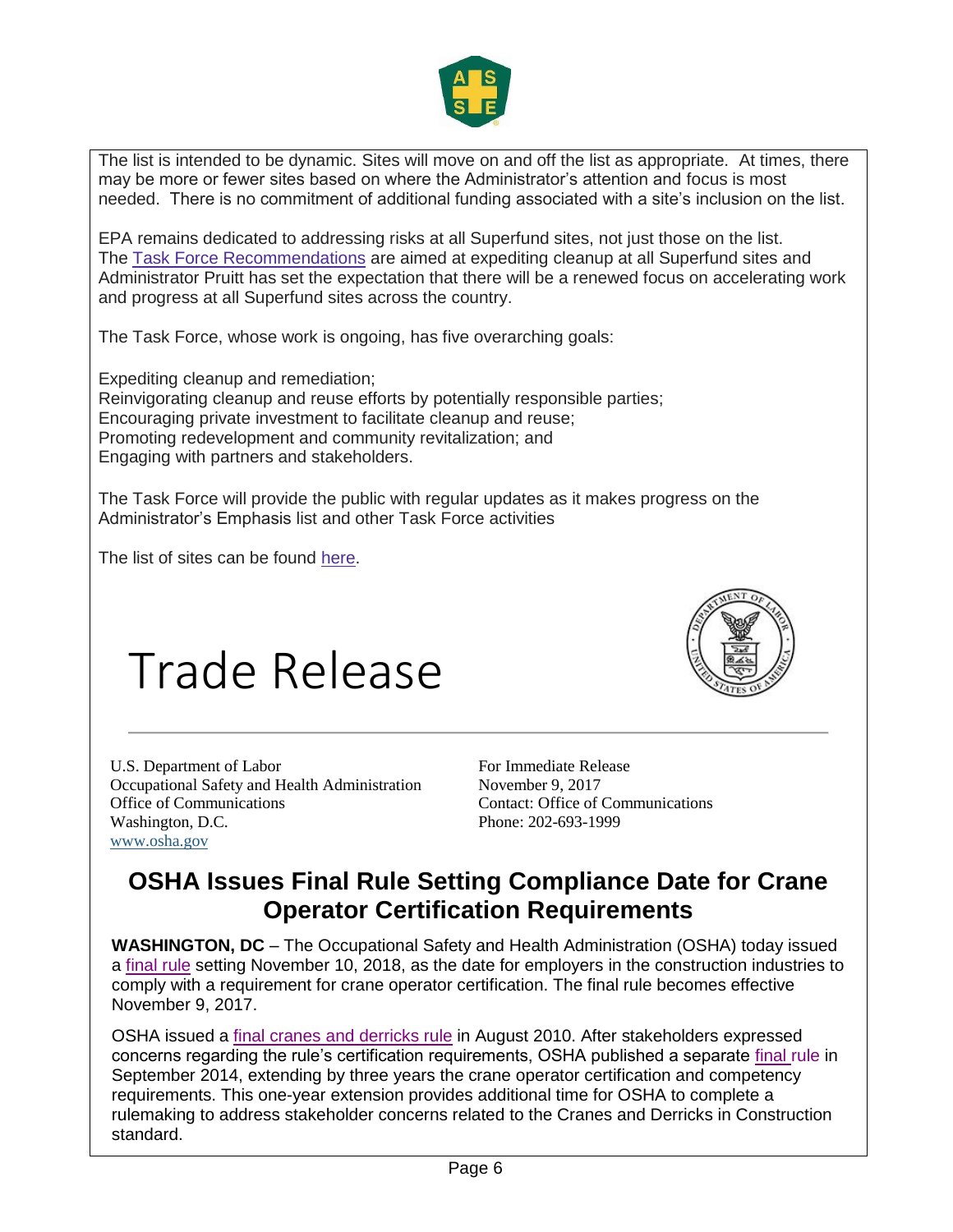

The list is intended to be dynamic. Sites will move on and off the list as appropriate. At times, there may be more or fewer sites based on where the Administrator's attention and focus is most needed. There is no commitment of additional funding associated with a site's inclusion on the list.

EPA remains dedicated to addressing risks at all Superfund sites, not just those on the list. The [Task Force Recommendations](https://www.epa.gov/newsreleases/epa-announces-superfund-task-force-recommendations) are aimed at expediting cleanup at all Superfund sites and Administrator Pruitt has set the expectation that there will be a renewed focus on accelerating work and progress at all Superfund sites across the country.

The Task Force, whose work is ongoing, has five overarching goals:

 Expediting cleanup and remediation; Reinvigorating cleanup and reuse efforts by potentially responsible parties; Encouraging private investment to facilitate cleanup and reuse; Promoting redevelopment and community revitalization; and Engaging with partners and stakeholders.

The Task Force will provide the public with regular updates as it makes progress on the Administrator's Emphasis list and other Task Force activities

The list of sites can be found [here.](https://www.epa.gov/superfund/superfund-sites-targeted-immediate-intense-action)

# Trade Release



U.S. Department of Labor Occupational Safety and Health Administration Office of Communications Washington, D.C. [www.osha.gov](http://links.govdelivery.com/track?type=click&enid=ZWFzPTEmbWFpbGluZ2lkPTIwMTcwOTE0Ljc4MTQ3MDAxJm1lc3NhZ2VpZD1NREItUFJELUJVTC0yMDE3MDkxNC43ODE0NzAwMSZkYXRhYmFzZWlkPTEwMDEmc2VyaWFsPTE3NDQ5NTQ4JmVtYWlsaWQ9a2NsYWlyQGVuc2FmZS5jb20mdXNlcmlkPWtjbGFpckBlbnNhZmUuY29tJmZsPSZleHRyYT1NdWx0aXZhcmlhdGVJZD0mJiY=&&&101&&&https://www.osha.gov/)

For Immediate Release November 9, 2017 Contact: Office of Communications Phone: 202-693-1999

#### **OSHA Issues Final Rule Setting Compliance Date for Crane Operator Certification Requirements**

**WASHINGTON, DC** – The Occupational Safety and Health Administration (OSHA) today issued a [final rule](https://www.osha.gov/laws-regs/federalregister/2017-11-09) setting November 10, 2018, as the date for employers in the construction industries to comply with a requirement for crane operator certification. The final rule becomes effective November 9, 2017.

OSHA issued a [final cranes and derricks rule](https://www.osha.gov/FedReg_osha_pdf/FED20100809.pdf) in August 2010. After stakeholders expressed concerns regarding the rule's certification requirements, OSHA published a separate [final rule](https://www.gpo.gov/fdsys/pkg/FR-2014-09-26/pdf/2014-22816.pdf) in September 2014, extending by three years the crane operator certification and competency requirements. This one-year extension provides additional time for OSHA to complete a rulemaking to address stakeholder concerns related to the Cranes and Derricks in Construction standard.